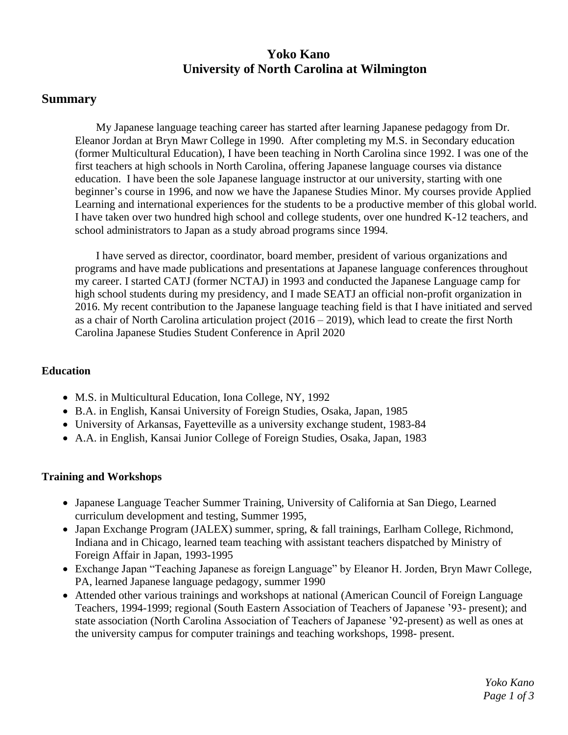# **Yoko Kano University of North Carolina at Wilmington**

## **Summary**

My Japanese language teaching career has started after learning Japanese pedagogy from Dr. Eleanor Jordan at Bryn Mawr College in 1990. After completing my M.S. in Secondary education (former Multicultural Education), I have been teaching in North Carolina since 1992. I was one of the first teachers at high schools in North Carolina, offering Japanese language courses via distance education. I have been the sole Japanese language instructor at our university, starting with one beginner's course in 1996, and now we have the Japanese Studies Minor. My courses provide Applied Learning and international experiences for the students to be a productive member of this global world. I have taken over two hundred high school and college students, over one hundred K-12 teachers, and school administrators to Japan as a study abroad programs since 1994.

I have served as director, coordinator, board member, president of various organizations and programs and have made publications and presentations at Japanese language conferences throughout my career. I started CATJ (former NCTAJ) in 1993 and conducted the Japanese Language camp for high school students during my presidency, and I made SEATJ an official non-profit organization in 2016. My recent contribution to the Japanese language teaching field is that I have initiated and served as a chair of North Carolina articulation project (2016 – 2019), which lead to create the first North Carolina Japanese Studies Student Conference in April 2020

#### **Education**

- M.S. in Multicultural Education, Iona College, NY, 1992
- B.A. in English, Kansai University of Foreign Studies, Osaka, Japan, 1985
- University of Arkansas, Fayetteville as a university exchange student, 1983-84
- A.A. in English, Kansai Junior College of Foreign Studies, Osaka, Japan, 1983

#### **Training and Workshops**

- Japanese Language Teacher Summer Training, University of California at San Diego, Learned curriculum development and testing, Summer 1995,
- Japan Exchange Program (JALEX) summer, spring, & fall trainings, Earlham College, Richmond, Indiana and in Chicago, learned team teaching with assistant teachers dispatched by Ministry of Foreign Affair in Japan, 1993-1995
- Exchange Japan "Teaching Japanese as foreign Language" by Eleanor H. Jorden, Bryn Mawr College, PA, learned Japanese language pedagogy, summer 1990
- Attended other various trainings and workshops at national (American Council of Foreign Language) Teachers, 1994-1999; regional (South Eastern Association of Teachers of Japanese '93- present); and state association (North Carolina Association of Teachers of Japanese '92-present) as well as ones at the university campus for computer trainings and teaching workshops, 1998- present.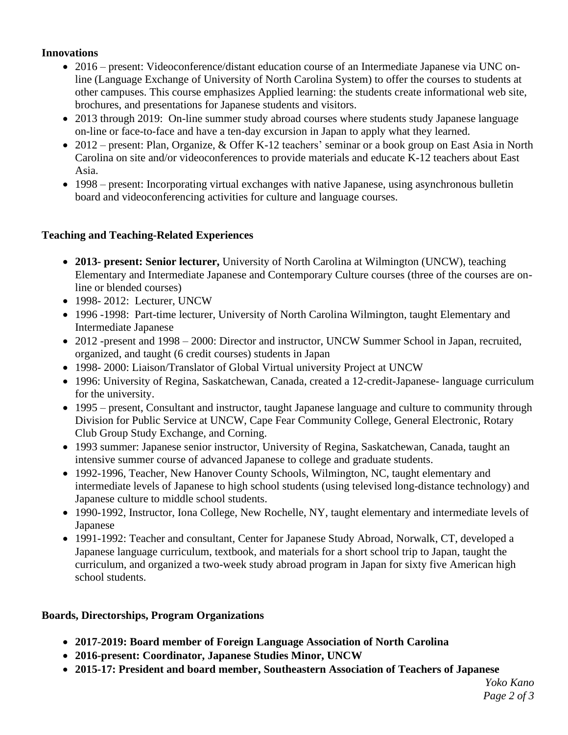### **Innovations**

- 2016 present: Videoconference/distant education course of an Intermediate Japanese via UNC online (Language Exchange of University of North Carolina System) to offer the courses to students at other campuses. This course emphasizes Applied learning: the students create informational web site, brochures, and presentations for Japanese students and visitors.
- 2013 through 2019: On-line summer study abroad courses where students study Japanese language on-line or face-to-face and have a ten-day excursion in Japan to apply what they learned.
- 2012 present: Plan, Organize, & Offer K-12 teachers' seminar or a book group on East Asia in North Carolina on site and/or videoconferences to provide materials and educate K-12 teachers about East Asia.
- 1998 present: Incorporating virtual exchanges with native Japanese, using asynchronous bulletin board and videoconferencing activities for culture and language courses.

### **Teaching and Teaching-Related Experiences**

- **2013- present: Senior lecturer,** University of North Carolina at Wilmington (UNCW), teaching Elementary and Intermediate Japanese and Contemporary Culture courses (three of the courses are online or blended courses)
- 1998-2012: Lecturer, UNCW
- 1996 -1998: Part-time lecturer, University of North Carolina Wilmington, taught Elementary and Intermediate Japanese
- 2012 -present and 1998 2000: Director and instructor, UNCW Summer School in Japan, recruited, organized, and taught (6 credit courses) students in Japan
- 1998- 2000: Liaison/Translator of Global Virtual university Project at UNCW
- 1996: University of Regina, Saskatchewan, Canada, created a 12-credit-Japanese- language curriculum for the university.
- 1995 present, Consultant and instructor, taught Japanese language and culture to community through Division for Public Service at UNCW, Cape Fear Community College, General Electronic, Rotary Club Group Study Exchange, and Corning.
- 1993 summer: Japanese senior instructor, University of Regina, Saskatchewan, Canada, taught an intensive summer course of advanced Japanese to college and graduate students.
- 1992-1996, Teacher, New Hanover County Schools, Wilmington, NC, taught elementary and intermediate levels of Japanese to high school students (using televised long-distance technology) and Japanese culture to middle school students.
- 1990-1992, Instructor, Iona College, New Rochelle, NY, taught elementary and intermediate levels of Japanese
- 1991-1992: Teacher and consultant, Center for Japanese Study Abroad, Norwalk, CT, developed a Japanese language curriculum, textbook, and materials for a short school trip to Japan, taught the curriculum, and organized a two-week study abroad program in Japan for sixty five American high school students.

### **Boards, Directorships, Program Organizations**

- **2017-2019: Board member of Foreign Language Association of North Carolina**
- **2016-present: Coordinator, Japanese Studies Minor, UNCW**
- **2015-17: President and board member, Southeastern Association of Teachers of Japanese**